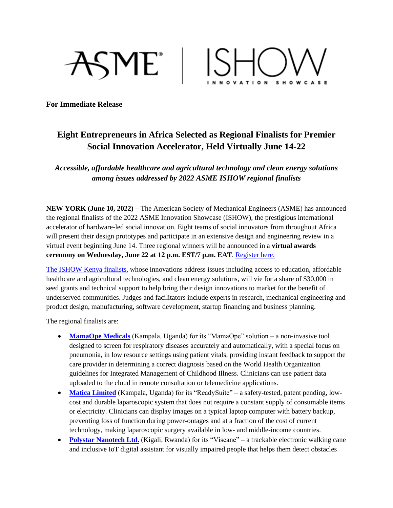



**For Immediate Release**

## **Eight Entrepreneurs in Africa Selected as Regional Finalists for Premier Social Innovation Accelerator, Held Virtually June 14-22**

*Accessible, affordable healthcare and agricultural technology and clean energy solutions among issues addressed by 2022 ASME ISHOW regional finalists*

**NEW YORK (June 10, 2022)** – The American Society of Mechanical Engineers (ASME) has announced the regional finalists of the 2022 ASME Innovation Showcase (ISHOW), the prestigious international accelerator of hardware-led social innovation. Eight teams of social innovators from throughout Africa will present their design prototypes and participate in an extensive design and engineering review in a virtual event beginning June 14. Three regional winners will be announced in a **virtual awards ceremony on Wednesday, June 22 at 12 p.m. EST/7 p.m. EAT**. [Register here.](https://thisishardware.org/competition/2022/kenya)

[The ISHOW Kenya](https://thisishardware.org/competition/2022/kenya) finalists, whose innovations address issues including access to education, affordable healthcare and agricultural technologies, and clean energy solutions, will vie for a share of \$30,000 in seed grants and technical support to help bring their design innovations to market for the benefit of underserved communities. Judges and facilitators include experts in research, mechanical engineering and product design, manufacturing, software development, startup financing and business planning.

The regional finalists are:

- **[MamaOpe Medicals](http://mamaope.com/)** (Kampala, Uganda) for its "MamaOpe" solution a non-invasive tool designed to screen for respiratory diseases accurately and automatically, with a special focus on pneumonia, in low resource settings using patient vitals, providing instant feedback to support the care provider in determining a correct diagnosis based on the World Health Organization guidelines for Integrated Management of Childhood Illness. Clinicians can use patient data uploaded to the cloud in remote consultation or telemedicine applications.
- **[Matica Limited](https://twitter.com/MATICA_ug)** (Kampala, Uganda) for its "ReadySuite" a safety-tested, patent pending, lowcost and durable laparoscopic system that does not require a constant supply of consumable items or electricity. Clinicians can display images on a typical laptop computer with battery backup, preventing loss of function during power-outages and at a fraction of the cost of current technology, making laparoscopic surgery available in low- and middle-income countries.
- **[Polystar Nanotech Ltd.](http://turere.org/polystar/)** (Kigali, Rwanda) for its "Viscane" a trackable electronic walking cane and inclusive IoT digital assistant for visually impaired people that helps them detect obstacles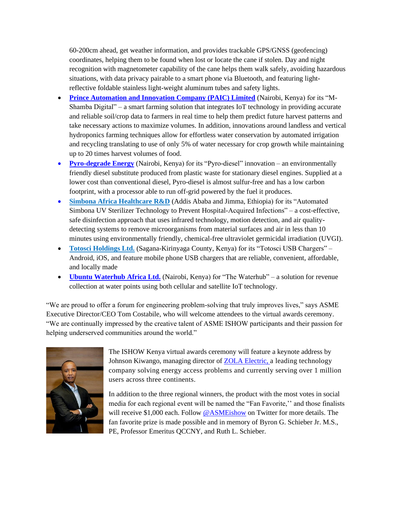60-200cm ahead, get weather information, and provides trackable GPS/GNSS (geofencing) coordinates, helping them to be found when lost or locate the cane if stolen. Day and night recognition with magnetometer capability of the cane helps them walk safely, avoiding hazardous situations, with data privacy pairable to a smart phone via Bluetooth, and featuring lightreflective foldable stainless light-weight aluminum tubes and safety lights.

- **Prince [Automation and Innovation Company \(PAIC\) Limited](https://www.paic.co.ke/products)** (Nairobi, Kenya) for its "M-Shamba Digital" – a smart farming solution that integrates IoT technology in providing accurate and reliable soil/crop data to farmers in real time to help them predict future harvest patterns and take necessary actions to maximize volumes. In addition, innovations around landless and vertical hydroponics farming techniques allow for effortless water conservation by automated irrigation and recycling translating to use of only 5% of water necessary for crop growth while maintaining up to 20 times harvest volumes of food.
- **[Pyro-degrade Energy](https://www.linkedin.com/company/pyro-degrade-energy/)** (Nairobi, Kenya) for its "Pyro-diesel" innovation an environmentally friendly diesel substitute produced from plastic waste for stationary diesel engines. Supplied at a lower cost than conventional diesel, Pyro-diesel is almost sulfur-free and has a low carbon footprint, with a processor able to run off-grid powered by the fuel it produces.
- **[Simbona Africa Healthcare R&D](https://www.simbona.com/)** (Addis Ababa and Jimma, Ethiopia) for its "Automated Simbona UV Sterilizer Technology to Prevent Hospital-Acquired Infections" – [a cost-effective,](https://www.totosci-holdings.com/)  [safe disinfection approach that uses infrared technology, motion detection, and air quality](https://www.totosci-holdings.com/)detecting systems to [remove microorganisms from material surfaces](https://www.totosci-holdings.com/) and air in less than 10 minutes [using environmentally friendly, chemical-free ultraviolet germicidal irradiation \(UVGI\).](https://www.totosci-holdings.com/)
- **[Totosci Holdings Ltd.](https://www.totosci-holdings.com/)** (Sagana-Kirinyaga County, Kenya) for its "Totosci USB Chargers" Android, iOS, and feature mobile phone USB chargers that are reliable, convenient, affordable, and locally made
- **[Ubuntu Waterhub Africa Ltd.](https://waterhub.africa/)** (Nairobi, Kenya) for "The Waterhub" a solution for revenue collection at water points using both cellular and satellite IoT technology.

"We are proud to offer a forum for engineering problem-solving that truly improves lives," says ASME Executive Director/CEO Tom Costabile, who will welcome attendees to the virtual awards ceremony. "We are continually impressed by the creative talent of ASME ISHOW participants and their passion for helping underserved communities around the world."



The ISHOW Kenya virtual awards ceremony will feature a keynote address by Johnson Kiwango, managing director of [ZOLA Electric,](https://zolaelectric.com/) a leading technology company solving energy access problems and currently serving over 1 million users across three continents.

In addition to the three regional winners, the product with the most votes in social media for each regional event will be named the "Fan Favorite,'' and those finalists will receive \$1,000 each. Follow  $@$  ASME ishow on Twitter for more details. The fan favorite prize is made possible and in memory of Byron G. Schieber Jr. M.S., PE, Professor Emeritus QCCNY, and Ruth L. Schieber.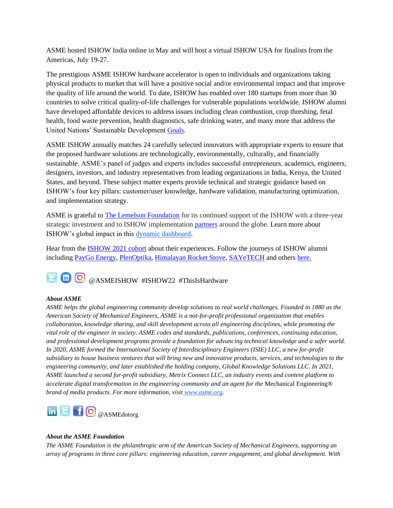ASME hosted ISHOW India online in May and will host a virtual ISHOW USA for finalists from the Americas, July 19-27.

The prestigious ASME ISHOW hardware accelerator is open to individuals and organizations taking physical products to market that will have a positive social and/or environmental impact and that improve the quality of life around the world. To date, ISHOW has enabled over 180 startups from more than 30 countries to solve critical quality-of-life challenges for vulnerable populations worldwide. ISHOW alumni have developed affordable devices to address issues including clean combustion, crop threshing, fetal health, food waste prevention, health diagnostics, safe drinking water, and many more that address the United Nations' Sustainable Development [Goals.](https://medium.com/impact-engineered/tagged/asme-ishow)

ASME ISHOW annually matches 24 carefully selected innovators with appropriate experts to ensure that the proposed hardware solutions are technologically, environmentally, culturally, and financially sustainable. ASME's panel of judges and experts includes successful entrepreneurs, academics, engineers, designers, investors, and industry representatives from leading organizations in India, Kenya, the United States, and beyond. These subject matter experts provide technical and strategic guidance based on ISHOW's four key pillars: customer/user knowledge, hardware validation, manufacturing optimization, and implementation strategy.

ASME is grateful t[o The Lemelson Foundation](https://www.lemelson.org/) for its continued support of the ISHOW with a three-year strategic investment and to ISHOW implementation [partners](https://thisishardware.org/partners) around the globe. Learn more about ISHOW's global impact in this [dynamic dashboard.](https://www.asmefoundation.org/our-impact/data/asme-ishow/)

Hear from the [ISHOW 2021](https://thisishardware.org/winners) cohort about their experiences. Follow the journeys of ISHOW alumni including [PayGo Energy,](https://www.asmefoundation.org/2019/10/15/supporting-entreprenuers-and-innovators-2/) [PlenOptika,](https://www.asmefoundation.org/2019/12/19/quicksee-provides-fast-accurate-and-affordable-eyeglass-prescriptions/) [Himalayan Rocket Stove,](https://www.asmefoundation.org/2020/02/10/ishow-2019-himalayan-rocket-stove/) [SAYeTECH](https://www.asmefoundation.org/2020/02/10/ishow-2019-multi-crop-thresher/) and others [here.](https://thisishardware.org/blog)

# **ED**@ASMEISHOW #ISHOW22 #ThisIsHardware

### *About ASME*

*ASME helps the global engineering community develop solutions to real world challenges. Founded in 1880 as the American Society of Mechanical Engineers, ASME is a not-for-profit professional organization that enables collaboration, knowledge sharing, and skill development across all engineering disciplines, while promoting the vital role of the engineer in society. ASME codes and standards, publications, conferences, continuing education, and professional development programs provide a foundation for advancing technical knowledge and a safer world. In 2020, ASME formed the International Society of Interdisciplinary Engineers (ISIE) LLC, a new for-profit subsidiary to house business ventures that will bring new and innovative products, services, and technologies to the engineering community, and later established the holding company, Global Knowledge Solutions LLC. In 2021, ASME launched a second for-profit subsidiary, Metrix Connect LLC, an industry events and content platform to accelerate digital transformation in the engineering community and an agent for the* Mechanical Engineering*® brand of media products. For more information, visit [www.asme.org.](http://www.asme.org/)*



#### *About the ASME Foundation*

*The ASME Foundation is the philanthropic arm of the American Society of Mechanical Engineers, supporting an array of programs in three core pillars: engineering education, career engagement, and global development. With*